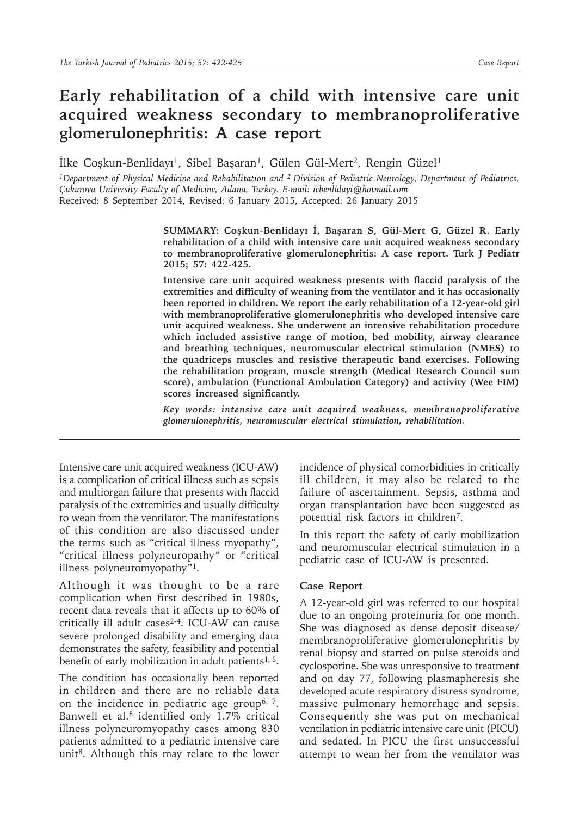# **Early rehabilitation of a child with intensive care unit acquired weakness secondary to membranoproliferative glomerulonephritis: A case report**

Ilke Coşkun-Benlidayı<sup>1</sup>, Sibel Başaran<sup>1</sup>, Gülen Gül-Mert<sup>2</sup>, Rengin Güzel<sup>1</sup>

*<sup>1</sup>Department of Physical Medicine and Rehabilitation and 2 Division of Pediatric Neurology, Department of Pediatrics, Çukurova University Faculty of Medicine, Adana, Turkey. E-mail: icbenlidayi@hotmail.com* Received: 8 September 2014, Revised: 6 January 2015, Accepted: 26 January 2015

> **SUMMARY: Coşkun-Benlidayı İ, Başaran S, Gül-Mert G, Güzel R. Early rehabilitation of a child with intensive care unit acquired weakness secondary to membranoproliferative glomerulonephritis: A case report. Turk J Pediatr 2015; 57: 422-425.**

> **Intensive care unit acquired weakness presents with flaccid paralysis of the extremities and difficulty of weaning from the ventilator and it has occasionally been reported in children. We report the early rehabilitation of a 12-year-old girl with membranoproliferative glomerulonephritis who developed intensive care unit acquired weakness. She underwent an intensive rehabilitation procedure which included assistive range of motion, bed mobility, airway clearance and breathing techniques, neuromuscular electrical stimulation (NMES) to the quadriceps muscles and resistive therapeutic band exercises. Following the rehabilitation program, muscle strength (Medical Research Council sum score), ambulation (Functional Ambulation Category) and activity (Wee FIM) scores increased significantly.**

> *Key words: intensive care unit acquired weakness, membranoproliferative glomerulonephritis, neuromuscular electrical stimulation, rehabilitation.*

Intensive care unit acquired weakness (ICU-AW) is a complication of critical illness such as sepsis and multiorgan failure that presents with flaccid paralysis of the extremities and usually difficulty to wean from the ventilator. The manifestations of this condition are also discussed under the terms such as "critical illness myopathy", "critical illness polyneuropathy" or "critical illness polyneuromyopathy"<sup>1</sup>.

Although it was thought to be a rare complication when first described in 1980s, recent data reveals that it affects up to 60% of critically ill adult cases<sup>2-4</sup>. ICU-AW can cause severe prolonged disability and emerging data demonstrates the safety, feasibility and potential benefit of early mobilization in adult patients<sup>1, 5</sup>.

The condition has occasionally been reported in children and there are no reliable data on the incidence in pediatric age group<sup>6, 7</sup>. Banwell et al.<sup>8</sup> identified only 1.7% critical illness polyneuromyopathy cases among 830 patients admitted to a pediatric intensive care unit<sup>8</sup>. Although this may relate to the lower

incidence of physical comorbidities in critically ill children, it may also be related to the failure of ascertainment. Sepsis, asthma and organ transplantation have been suggested as potential risk factors in children7.

In this report the safety of early mobilization and neuromuscular electrical stimulation in a pediatric case of ICU-AW is presented.

#### **Case Report**

A 12-year-old girl was referred to our hospital due to an ongoing proteinuria for one month. She was diagnosed as dense deposit disease/ membranoproliferative glomerulonephritis by renal biopsy and started on pulse steroids and cyclosporine. She was unresponsive to treatment and on day 77, following plasmapheresis she developed acute respiratory distress syndrome, massive pulmonary hemorrhage and sepsis. Consequently she was put on mechanical ventilation in pediatric intensive care unit (PICU) and sedated. In PICU the first unsuccessful attempt to wean her from the ventilator was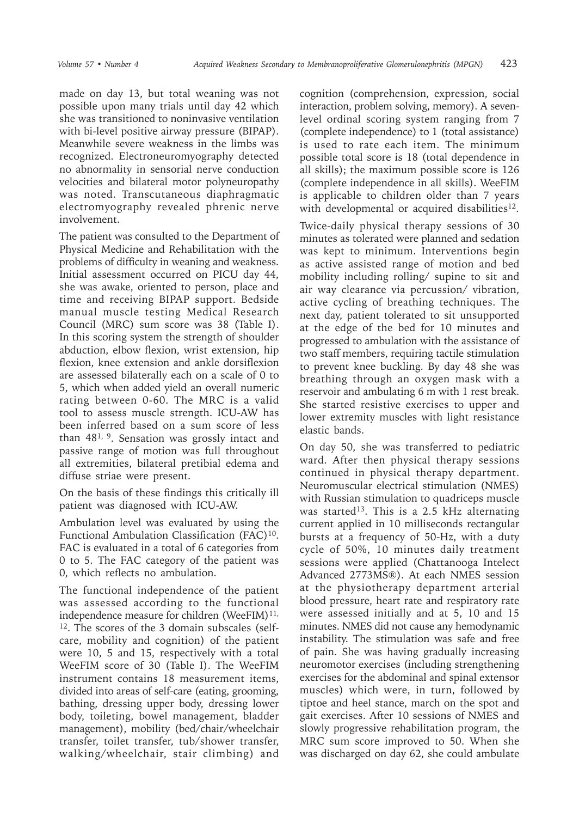made on day 13, but total weaning was not possible upon many trials until day 42 which she was transitioned to noninvasive ventilation with bi-level positive airway pressure (BIPAP). Meanwhile severe weakness in the limbs was recognized. Electroneuromyography detected no abnormality in sensorial nerve conduction velocities and bilateral motor polyneuropathy was noted. Transcutaneous diaphragmatic electromyography revealed phrenic nerve involvement.

The patient was consulted to the Department of Physical Medicine and Rehabilitation with the problems of difficulty in weaning and weakness. Initial assessment occurred on PICU day 44, she was awake, oriented to person, place and time and receiving BIPAP support. Bedside manual muscle testing Medical Research Council (MRC) sum score was 38 (Table I). In this scoring system the strength of shoulder abduction, elbow flexion, wrist extension, hip flexion, knee extension and ankle dorsiflexion are assessed bilaterally each on a scale of 0 to 5, which when added yield an overall numeric rating between 0-60. The MRC is a valid tool to assess muscle strength. ICU-AW has been inferred based on a sum score of less than 481, 9. Sensation was grossly intact and passive range of motion was full throughout all extremities, bilateral pretibial edema and diffuse striae were present.

On the basis of these findings this critically ill patient was diagnosed with ICU-AW.

Ambulation level was evaluated by using the Functional Ambulation Classification (FAC)<sup>10</sup>. FAC is evaluated in a total of 6 categories from 0 to 5. The FAC category of the patient was 0, which reflects no ambulation.

The functional independence of the patient was assessed according to the functional independence measure for children (WeeFIM) $11$ , 12. The scores of the 3 domain subscales (selfcare, mobility and cognition) of the patient were 10, 5 and 15, respectively with a total WeeFIM score of 30 (Table I). The WeeFIM instrument contains 18 measurement items, divided into areas of self-care (eating, grooming, bathing, dressing upper body, dressing lower body, toileting, bowel management, bladder management), mobility (bed/chair/wheelchair transfer, toilet transfer, tub/shower transfer, walking/wheelchair, stair climbing) and cognition (comprehension, expression, social interaction, problem solving, memory). A sevenlevel ordinal scoring system ranging from 7 (complete independence) to 1 (total assistance) is used to rate each item. The minimum possible total score is 18 (total dependence in all skills); the maximum possible score is 126 (complete independence in all skills). WeeFIM is applicable to children older than 7 years with developmental or acquired disabilities<sup>12</sup>.

Twice-daily physical therapy sessions of 30 minutes as tolerated were planned and sedation was kept to minimum. Interventions begin as active assisted range of motion and bed mobility including rolling/ supine to sit and air way clearance via percussion/ vibration, active cycling of breathing techniques. The next day, patient tolerated to sit unsupported at the edge of the bed for 10 minutes and progressed to ambulation with the assistance of two staff members, requiring tactile stimulation to prevent knee buckling. By day 48 she was breathing through an oxygen mask with a reservoir and ambulating 6 m with 1 rest break. She started resistive exercises to upper and lower extremity muscles with light resistance elastic bands.

On day 50, she was transferred to pediatric ward. After then physical therapy sessions continued in physical therapy department. Neuromuscular electrical stimulation (NMES) with Russian stimulation to quadriceps muscle was started<sup>13</sup>. This is a 2.5 kHz alternating current applied in 10 milliseconds rectangular bursts at a frequency of 50-Hz, with a duty cycle of 50%, 10 minutes daily treatment sessions were applied (Chattanooga Intelect Advanced 2773MS®). At each NMES session at the physiotherapy department arterial blood pressure, heart rate and respiratory rate were assessed initially and at 5, 10 and 15 minutes. NMES did not cause any hemodynamic instability. The stimulation was safe and free of pain. She was having gradually increasing neuromotor exercises (including strengthening exercises for the abdominal and spinal extensor muscles) which were, in turn, followed by tiptoe and heel stance, march on the spot and gait exercises. After 10 sessions of NMES and slowly progressive rehabilitation program, the MRC sum score improved to 50. When she was discharged on day 62, she could ambulate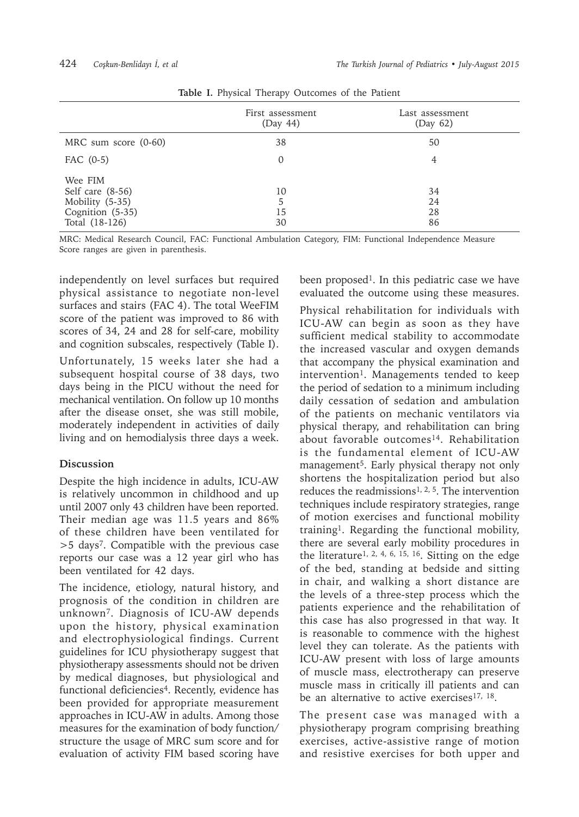|                                                                                        | First assessment<br>(Day 44) | Last assessment<br>(Day 62) |
|----------------------------------------------------------------------------------------|------------------------------|-----------------------------|
| MRC sum score $(0-60)$                                                                 | 38                           | 50                          |
| FAC (0-5)                                                                              | 0                            | 4                           |
| Wee FIM<br>Self care $(8-56)$<br>Mobility (5-35)<br>Cognition (5-35)<br>Total (18-126) | 10<br>5<br>15<br>30          | 34<br>24<br>28<br>86        |

**Table I.** Physical Therapy Outcomes of the Patient

MRC: Medical Research Council, FAC: Functional Ambulation Category, FIM: Functional Independence Measure Score ranges are given in parenthesis.

independently on level surfaces but required physical assistance to negotiate non-level surfaces and stairs (FAC 4). The total WeeFIM score of the patient was improved to 86 with scores of 34, 24 and 28 for self-care, mobility and cognition subscales, respectively (Table I).

Unfortunately, 15 weeks later she had a subsequent hospital course of 38 days, two days being in the PICU without the need for mechanical ventilation. On follow up 10 months after the disease onset, she was still mobile, moderately independent in activities of daily living and on hemodialysis three days a week.

## **Discussion**

Despite the high incidence in adults, ICU-AW is relatively uncommon in childhood and up until 2007 only 43 children have been reported. Their median age was 11.5 years and 86% of these children have been ventilated for >5 days<sup>7</sup>. Compatible with the previous case reports our case was a 12 year girl who has been ventilated for 42 days.

The incidence, etiology, natural history, and prognosis of the condition in children are unknown<sup>7</sup>. Diagnosis of ICU-AW depends upon the history, physical examination and electrophysiological findings. Current guidelines for ICU physiotherapy suggest that physiotherapy assessments should not be driven by medical diagnoses, but physiological and functional deficiencies<sup>4</sup>. Recently, evidence has been provided for appropriate measurement approaches in ICU-AW in adults. Among those measures for the examination of body function/ structure the usage of MRC sum score and for evaluation of activity FIM based scoring have

been proposed<sup>1</sup>. In this pediatric case we have evaluated the outcome using these measures.

Physical rehabilitation for individuals with ICU-AW can begin as soon as they have sufficient medical stability to accommodate the increased vascular and oxygen demands that accompany the physical examination and intervention<sup>1</sup>. Managements tended to keep the period of sedation to a minimum including daily cessation of sedation and ambulation of the patients on mechanic ventilators via physical therapy, and rehabilitation can bring about favorable outcomes<sup>14</sup>. Rehabilitation is the fundamental element of ICU-AW management<sup>5</sup>. Early physical therapy not only shortens the hospitalization period but also reduces the readmissions<sup>1, 2, 5</sup>. The intervention techniques include respiratory strategies, range of motion exercises and functional mobility training1. Regarding the functional mobility, there are several early mobility procedures in the literature1, 2, 4, 6, 15, 16. Sitting on the edge of the bed, standing at bedside and sitting in chair, and walking a short distance are the levels of a three-step process which the patients experience and the rehabilitation of this case has also progressed in that way. It is reasonable to commence with the highest level they can tolerate. As the patients with ICU-AW present with loss of large amounts of muscle mass, electrotherapy can preserve muscle mass in critically ill patients and can be an alternative to active exercises<sup>17, 18</sup>.

The present case was managed with a physiotherapy program comprising breathing exercises, active-assistive range of motion and resistive exercises for both upper and